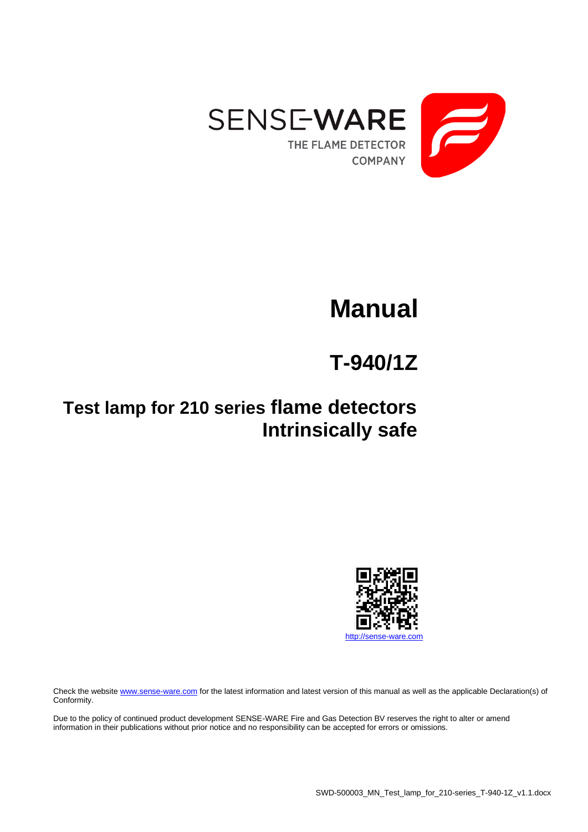

# **Manual**

## **T-940/1Z**

## **Test lamp for 210 series flame detectors Intrinsically safe**



Check the websit[e www.sense-ware.com](http://www.sense-ware.com/) for the latest information and latest version of this manual as well as the applicable Declaration(s) of Conformity.

Due to the policy of continued product development SENSE-WARE Fire and Gas Detection BV reserves the right to alter or amend information in their publications without prior notice and no responsibility can be accepted for errors or omissions.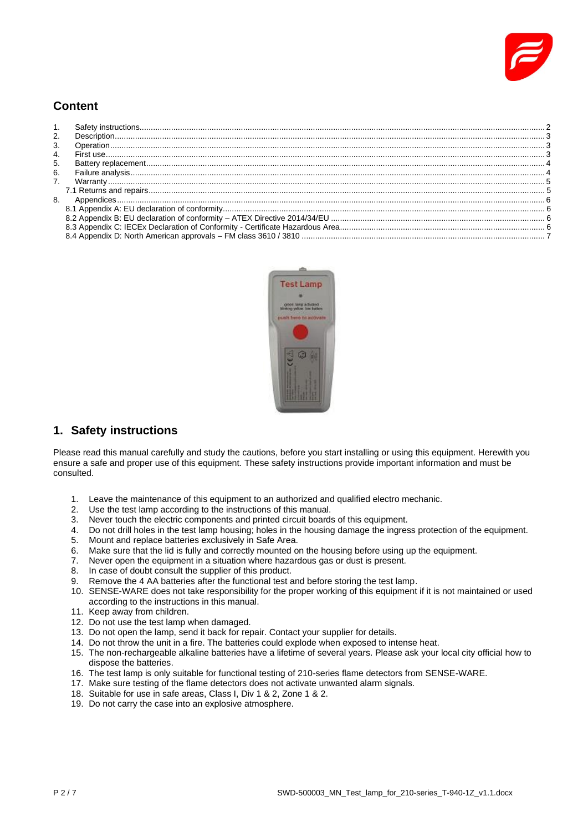

## **Content**

| 2. |  |
|----|--|
| 3. |  |
| 4. |  |
| 5. |  |
| 6. |  |
|    |  |
|    |  |
| 8. |  |
|    |  |
|    |  |
|    |  |
|    |  |
|    |  |



## <span id="page-1-0"></span>**1. Safety instructions**

Please read this manual carefully and study the cautions, before you start installing or using this equipment. Herewith you ensure a safe and proper use of this equipment. These safety instructions provide important information and must be consulted.

- 1. Leave the maintenance of this equipment to an authorized and qualified electro mechanic.
- 2. Use the test lamp according to the instructions of this manual.
- 3. Never touch the electric components and printed circuit boards of this equipment.
- 4. Do not drill holes in the test lamp housing; holes in the housing damage the ingress protection of the equipment.
- 5. Mount and replace batteries exclusively in Safe Area.
- 6. Make sure that the lid is fully and correctly mounted on the housing before using up the equipment.
- 7. Never open the equipment in a situation where hazardous gas or dust is present.
- 8. In case of doubt consult the supplier of this product.
- 9. Remove the 4 AA batteries after the functional test and before storing the test lamp.
- 10. SENSE-WARE does not take responsibility for the proper working of this equipment if it is not maintained or used according to the instructions in this manual.
- 11. Keep away from children.
- 12. Do not use the test lamp when damaged.
- 13. Do not open the lamp, send it back for repair. Contact your supplier for details.
- 14. Do not throw the unit in a fire. The batteries could explode when exposed to intense heat.
- 15. The non-rechargeable alkaline batteries have a lifetime of several years. Please ask your local city official how to dispose the batteries.
- 16. The test lamp is only suitable for functional testing of 210-series flame detectors from SENSE-WARE.
- 17. Make sure testing of the flame detectors does not activate unwanted alarm signals.
- 18. Suitable for use in safe areas, Class I, Div 1 & 2, Zone 1 & 2.
- 19. Do not carry the case into an explosive atmosphere.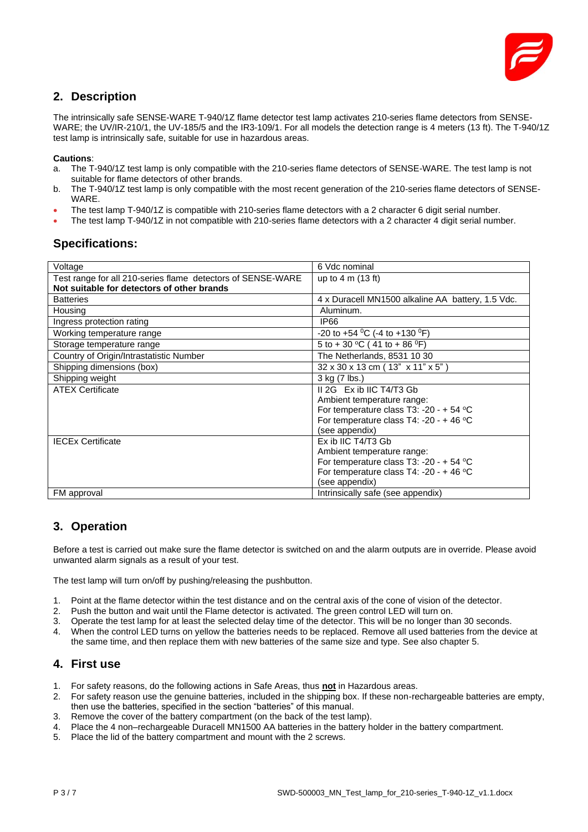

## <span id="page-2-0"></span>**2. Description**

The intrinsically safe SENSE-WARE T-940/1Z flame detector test lamp activates 210-series flame detectors from SENSE-WARE; the UV/IR-210/1, the UV-185/5 and the IR3-109/1. For all models the detection range is 4 meters (13 ft). The T-940/1Z test lamp is intrinsically safe, suitable for use in hazardous areas.

#### **Cautions**:

- a. The T-940/1Z test lamp is only compatible with the 210-series flame detectors of SENSE-WARE. The test lamp is not suitable for flame detectors of other brands.
- b. The T-940/1Z test lamp is only compatible with the most recent generation of the 210-series flame detectors of SENSE-WARE.
- The test lamp T-940/1Z is compatible with 210-series flame detectors with a 2 character 6 digit serial number.
- The test lamp T-940/1Z in not compatible with 210-series flame detectors with a 2 character 4 digit serial number.

#### **Specifications:**

| Voltage                                                     | 6 Vdc nominal                                         |
|-------------------------------------------------------------|-------------------------------------------------------|
| Test range for all 210-series flame detectors of SENSE-WARE | up to 4 m (13 ft)                                     |
| Not suitable for detectors of other brands                  |                                                       |
| <b>Batteries</b>                                            | 4 x Duracell MN1500 alkaline AA battery, 1.5 Vdc.     |
| Housing                                                     | Aluminum.                                             |
| Ingress protection rating                                   | <b>IP66</b>                                           |
| Working temperature range                                   | -20 to +54 <sup>o</sup> C (-4 to +130 <sup>o</sup> F) |
| Storage temperature range                                   | 5 to + 30 °C (41 to + 86 °F)                          |
| Country of Origin/Intrastatistic Number                     | The Netherlands, 8531 10 30                           |
| Shipping dimensions (box)                                   | 32 x 30 x 13 cm (13" x 11" x 5")                      |
| Shipping weight                                             | 3 kg (7 lbs.)                                         |
| <b>ATEX Certificate</b>                                     | II 2G Ex ib IIC T4/T3 Gb                              |
|                                                             | Ambient temperature range:                            |
|                                                             | For temperature class T3: -20 - + 54 $^{\circ}$ C     |
|                                                             | For temperature class T4: -20 - +46 $^{\circ}$ C      |
|                                                             | (see appendix)                                        |
| <b>IECEx Certificate</b>                                    | Ex ib IIC T4/T3 Gb                                    |
|                                                             | Ambient temperature range:                            |
|                                                             | For temperature class T3: -20 - + 54 $^{\circ}$ C     |
|                                                             | For temperature class T4: -20 - + 46 $°C$             |
|                                                             | (see appendix)                                        |
| FM approval                                                 | Intrinsically safe (see appendix)                     |

## <span id="page-2-1"></span>**3. Operation**

Before a test is carried out make sure the flame detector is switched on and the alarm outputs are in override. Please avoid unwanted alarm signals as a result of your test.

The test lamp will turn on/off by pushing/releasing the pushbutton.

- 1. Point at the flame detector within the test distance and on the central axis of the cone of vision of the detector.
- 2. Push the button and wait until the Flame detector is activated. The green control LED will turn on.
- 3. Operate the test lamp for at least the selected delay time of the detector. This will be no longer than 30 seconds.
- 4. When the control LED turns on yellow the batteries needs to be replaced. Remove all used batteries from the device at the same time, and then replace them with new batteries of the same size and type. See also chapter 5.

#### <span id="page-2-2"></span>**4. First use**

- 1. For safety reasons, do the following actions in Safe Areas, thus **not** in Hazardous areas.
- 2. For safety reason use the genuine batteries, included in the shipping box. If these non-rechargeable batteries are empty, then use the batteries, specified in the section "batteries" of this manual.
- 3. Remove the cover of the battery compartment (on the back of the test lamp).
- 4. Place the 4 non–rechargeable Duracell MN1500 AA batteries in the battery holder in the battery compartment.
- 5. Place the lid of the battery compartment and mount with the 2 screws.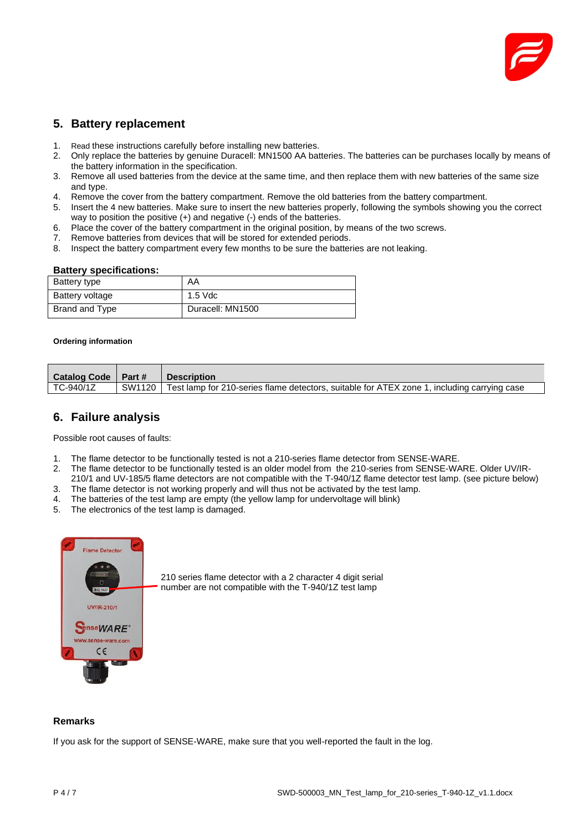

### <span id="page-3-0"></span>**5. Battery replacement**

- 1. Read these instructions carefully before installing new batteries.
- 2. Only replace the batteries by genuine Duracell: MN1500 AA batteries. The batteries can be purchases locally by means of the battery information in the specification.
- 3. Remove all used batteries from the device at the same time, and then replace them with new batteries of the same size and type.
- 4. Remove the cover from the battery compartment. Remove the old batteries from the battery compartment.
- 5. Insert the 4 new batteries. Make sure to insert the new batteries properly, following the symbols showing you the correct way to position the positive (+) and negative (-) ends of the batteries.
- 6. Place the cover of the battery compartment in the original position, by means of the two screws.
- 7. Remove batteries from devices that will be stored for extended periods.
- 8. Inspect the battery compartment every few months to be sure the batteries are not leaking.

#### **Battery specifications:**

| Battery type    | AA               |  |
|-----------------|------------------|--|
| Battery voltage | $1.5$ Vdc        |  |
| Brand and Type  | Duracell: MN1500 |  |

#### **Ordering information**

| <b>Catalog Code</b> | $\blacksquare$ Part # | <b>Description</b>                                                                                   |
|---------------------|-----------------------|------------------------------------------------------------------------------------------------------|
| TC-940/1Z           |                       | SW1120   Test lamp for 210-series flame detectors, suitable for ATEX zone 1, including carrying case |

#### <span id="page-3-1"></span>**6. Failure analysis**

Possible root causes of faults:

- 1. The flame detector to be functionally tested is not a 210-series flame detector from SENSE-WARE.
- 2. The flame detector to be functionally tested is an older model from the 210-series from SENSE-WARE. Older UV/IR-
- 210/1 and UV-185/5 flame detectors are not compatible with the T-940/1Z flame detector test lamp. (see picture below)
- 3. The flame detector is not working properly and will thus not be activated by the test lamp.
- 4. The batteries of the test lamp are empty (the yellow lamp for undervoltage will blink)
- 5. The electronics of the test lamp is damaged.



210 series flame detector with a 2 character 4 digit serial number are not compatible with the T-940/1Z test lamp

#### **Remarks**

If you ask for the support of SENSE-WARE, make sure that you well-reported the fault in the log.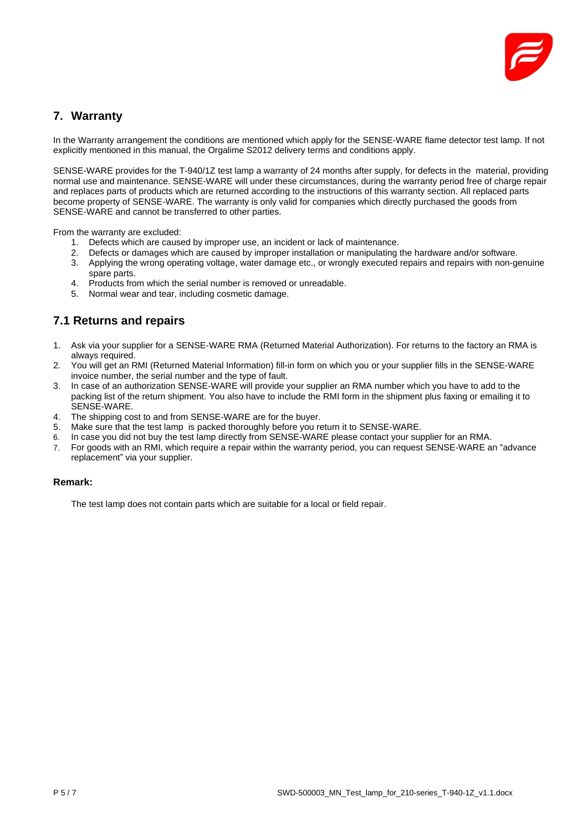

## <span id="page-4-0"></span>**7. Warranty**

In the Warranty arrangement the conditions are mentioned which apply for the SENSE-WARE flame detector test lamp. If not explicitly mentioned in this manual, the Orgalime S2012 delivery terms and conditions apply.

SENSE-WARE provides for the T-940/1Z test lamp a warranty of 24 months after supply, for defects in the material, providing normal use and maintenance. SENSE-WARE will under these circumstances, during the warranty period free of charge repair and replaces parts of products which are returned according to the instructions of this warranty section. All replaced parts become property of SENSE-WARE. The warranty is only valid for companies which directly purchased the goods from SENSE-WARE and cannot be transferred to other parties.

From the warranty are excluded:

- 1. Defects which are caused by improper use, an incident or lack of maintenance.
- 2. Defects or damages which are caused by improper installation or manipulating the hardware and/or software.
- 3. Applying the wrong operating voltage, water damage etc., or wrongly executed repairs and repairs with non-genuine spare parts.
- 4. Products from which the serial number is removed or unreadable.
- 5. Normal wear and tear, including cosmetic damage.

## <span id="page-4-1"></span>**7.1 Returns and repairs**

- 1. Ask via your supplier for a SENSE-WARE RMA (Returned Material Authorization). For returns to the factory an RMA is always required.
- 2. You will get an RMI (Returned Material Information) fill-in form on which you or your supplier fills in the SENSE-WARE invoice number, the serial number and the type of fault.
- 3. In case of an authorization SENSE-WARE will provide your supplier an RMA number which you have to add to the packing list of the return shipment. You also have to include the RMI form in the shipment plus faxing or emailing it to SENSE-WARE.
- 4. The shipping cost to and from SENSE-WARE are for the buyer.
- 5. Make sure that the test lamp is packed thoroughly before you return it to SENSE-WARE.
- 6. In case you did not buy the test lamp directly from SENSE-WARE please contact your supplier for an RMA.
- 7. For goods with an RMI, which require a repair within the warranty period, you can request SENSE-WARE an "advance replacement" via your supplier.

#### **Remark:**

The test lamp does not contain parts which are suitable for a local or field repair.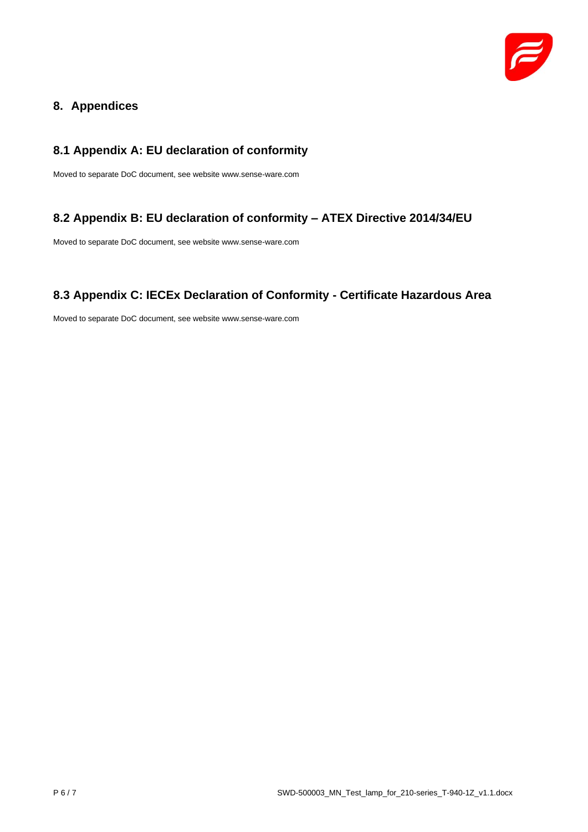

## <span id="page-5-0"></span>**8. Appendices**

## <span id="page-5-1"></span>**8.1 Appendix A: EU declaration of conformity**

Moved to separate DoC document, see website www.sense-ware.com

## <span id="page-5-2"></span>**8.2 Appendix B: EU declaration of conformity – ATEX Directive 2014/34/EU**

Moved to separate DoC document, see website www.sense-ware.com

## <span id="page-5-3"></span>**8.3 Appendix C: IECEx Declaration of Conformity - Certificate Hazardous Area**

Moved to separate DoC document, see website www.sense-ware.com